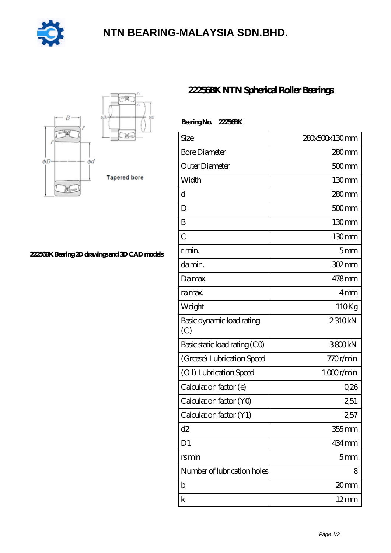

## **[NTN BEARING-MALAYSIA SDN.BHD.](https://bblc.tv)**



## **[22256BK Bearing 2D drawings and 3D CAD models](https://bblc.tv/pic-1088772.html)**

## **[22256BK NTN Spherical Roller Bearings](https://bblc.tv/spherical-roller-bearings/22256bk.html)**

| Bearing No. 22256BK              |                 |
|----------------------------------|-----------------|
| Size                             | 280x500x130mm   |
| <b>Bore Diameter</b>             | 280mm           |
| Outer Diameter                   | $500$ mm        |
| Width                            | 130mm           |
| d                                | 280mm           |
| D                                | $500$ mm        |
| B                                | 130mm           |
| $\overline{C}$                   | 130mm           |
| r min.                           | 5 <sub>mm</sub> |
| da min.                          | $302 \text{mm}$ |
| Damax.                           | 478mm           |
| ra max.                          | 4mm             |
| Weight                           | 110Kg           |
| Basic dynamic load rating<br>(C) | 2310kN          |
| Basic static load rating (CO)    | 3800kN          |
| (Grease) Lubrication Speed       | 770r/min        |
| (Oil) Lubrication Speed          | 1000r/min       |
| Calculation factor (e)           | 0,26            |
| Calculation factor (YO)          | 2,51            |
| Calculation factor (Y1)          | 2,57            |
| d2                               | $355$ mm        |
| D <sub>1</sub>                   | 434 mm          |
| rsmin                            | 5 <sub>mm</sub> |
| Number of lubrication holes      | 8               |
| b                                | 20mm            |
| k                                | $12 \text{mm}$  |